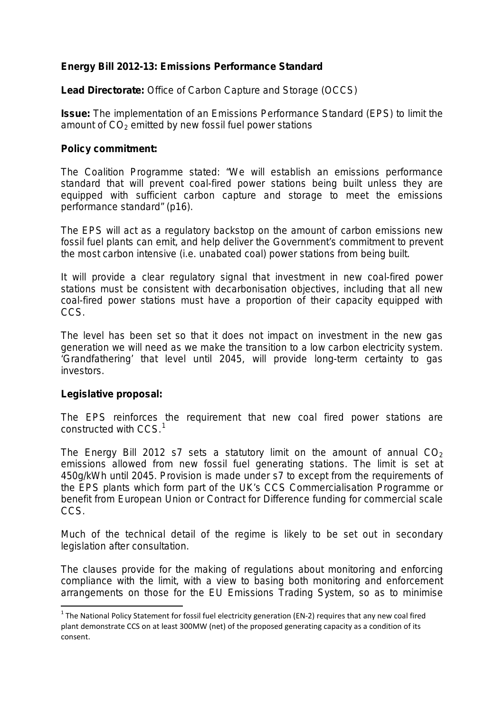# **Energy Bill 2012-13: Emissions Performance Standard**

**Lead Directorate:** Office of Carbon Capture and Storage (OCCS)

**Issue:** The implementation of an Emissions Performance Standard (EPS) to limit the amount of  $CO<sub>2</sub>$  emitted by new fossil fuel power stations

## **Policy commitment:**

The Coalition Programme stated: "We will establish an emissions performance standard that will prevent coal-fired power stations being built unless they are equipped with sufficient carbon capture and storage to meet the emissions performance standard" (p16).

The EPS will act as a regulatory backstop on the amount of carbon emissions new fossil fuel plants can emit, and help deliver the Government's commitment to prevent the most carbon intensive (i.e. unabated coal) power stations from being built.

It will provide a clear regulatory signal that investment in new coal-fired power stations must be consistent with decarbonisation objectives, including that all new coal-fired power stations must have a proportion of their capacity equipped with CCS.

The level has been set so that it does not impact on investment in the new gas generation we will need as we make the transition to a low carbon electricity system. 'Grandfathering' that level until 2045, will provide long-term certainty to gas investors.

# **Legislative proposal:**

The EPS reinforces the requirement that new coal fired power stations are constructed with CCS.<sup>[1](#page-0-0)</sup>

The Energy Bill 2012 s7 sets a statutory limit on the amount of annual  $CO<sub>2</sub>$ emissions allowed from new fossil fuel generating stations. The limit is set at 450g/kWh until 2045. Provision is made under s7 to except from the requirements of the EPS plants which form part of the UK's CCS Commercialisation Programme or benefit from European Union or Contract for Difference funding for commercial scale CCS.

Much of the technical detail of the regime is likely to be set out in secondary legislation after consultation.

The clauses provide for the making of regulations about monitoring and enforcing compliance with the limit, with a view to basing both monitoring and enforcement arrangements on those for the EU Emissions Trading System, so as to minimise

<span id="page-0-0"></span> $1$  The National Policy Statement for fossil fuel electricity generation (EN-2) requires that any new coal fired plant demonstrate CCS on at least 300MW (net) of the proposed generating capacity as a condition of its consent.